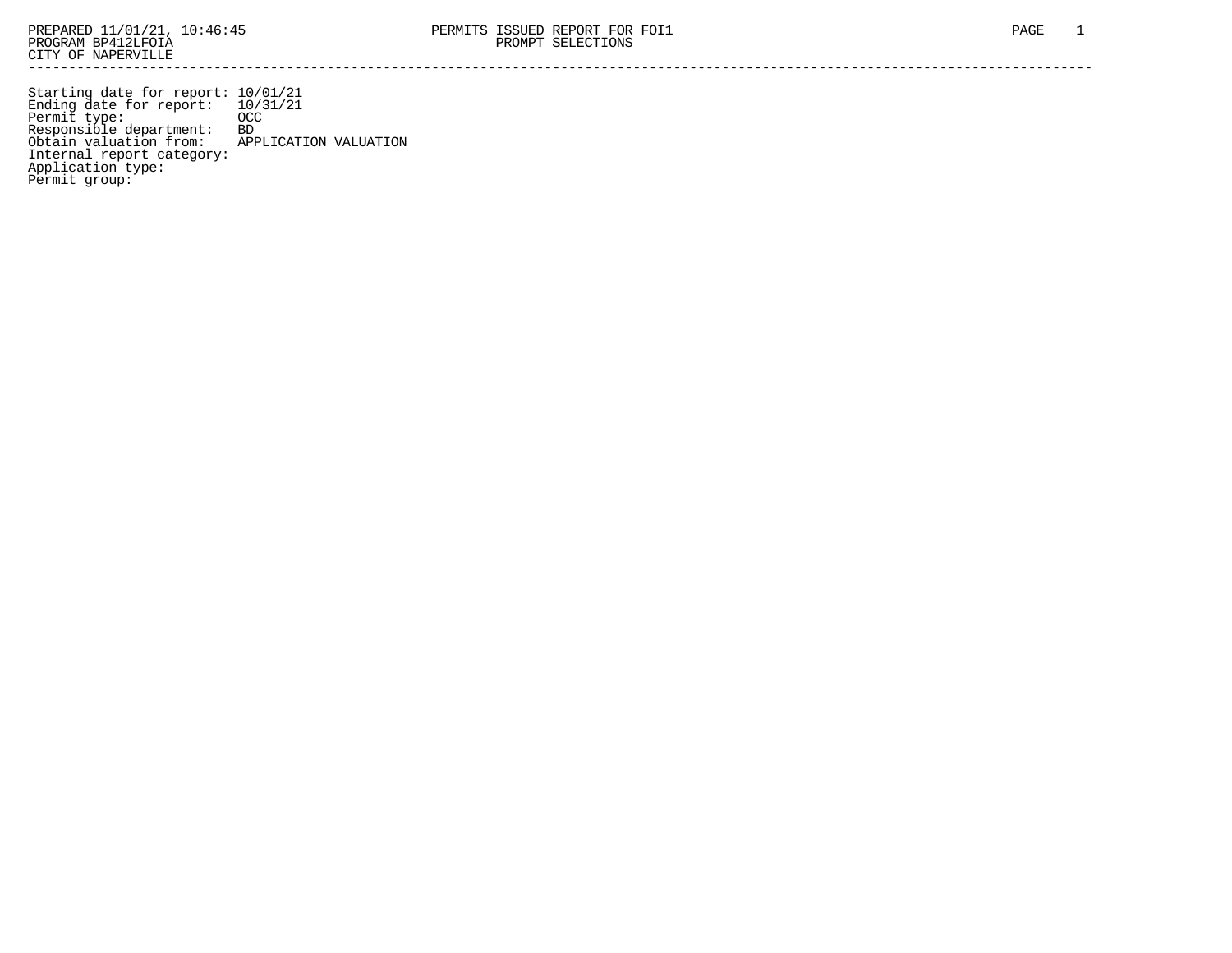Starting date for report: 10/01/21 Ending date for report: 10/31/21 Permit type: OCC Responsible department: BD Obtain valuation from: APPLICATION VALUATION Internal report category: Application type: Permit group: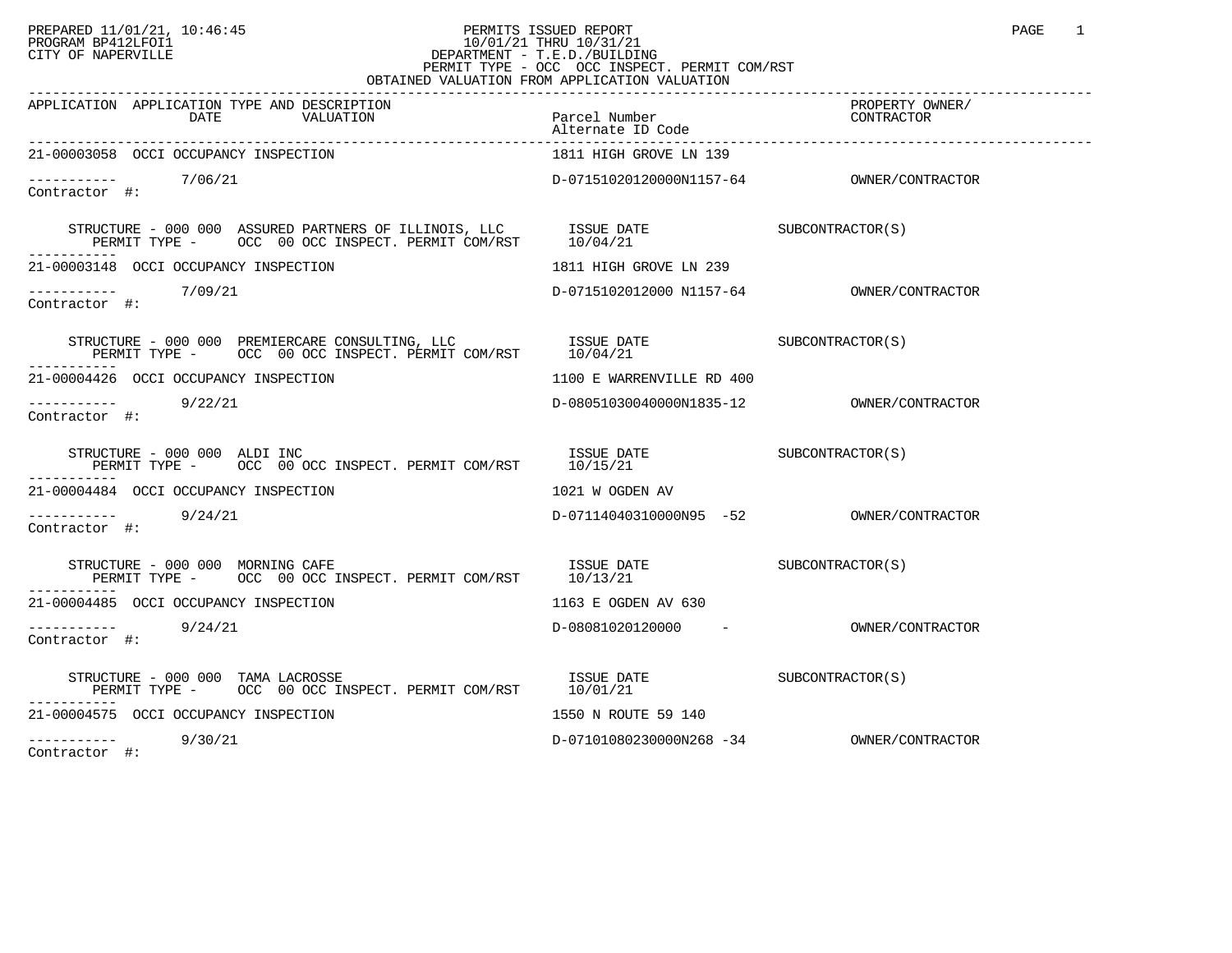## PREPARED 11/01/21, 10:46:45 PERMITS ISSUED REPORT PAGE 1 PROGRAM BP412LFOI1 10/01/21 THRU 10/31/21 CITY OF NAPERVILLE **Example 20** CITY OF NAPERVILLE PERMIT TYPE - OCC OCC INSPECT. PERMIT COM/RST

| - VVV<br>OCC INDITION: INNIII COMPO<br>OBTAINED VALUATION FROM APPLICATION VALUATION                                                                                                                                                                                                                                                                                                                                                              |                                           |  |  |  |
|---------------------------------------------------------------------------------------------------------------------------------------------------------------------------------------------------------------------------------------------------------------------------------------------------------------------------------------------------------------------------------------------------------------------------------------------------|-------------------------------------------|--|--|--|
| APPLICATION APPLICATION TYPE AND DESCRIPTION                                                                                                                                                                                                                                                                                                                                                                                                      |                                           |  |  |  |
| 21-00003058 OCCI OCCUPANCY INSPECTION                                                                                                                                                                                                                                                                                                                                                                                                             | 1811 HIGH GROVE LN 139                    |  |  |  |
| $\frac{---------}{7/06/21}$<br>Contractor #:                                                                                                                                                                                                                                                                                                                                                                                                      |                                           |  |  |  |
|                                                                                                                                                                                                                                                                                                                                                                                                                                                   |                                           |  |  |  |
| 21-00003148 OCCI OCCUPANCY INSPECTION                                                                                                                                                                                                                                                                                                                                                                                                             | 1811 HIGH GROVE LN 239                    |  |  |  |
| $\frac{---------}{7/09/21}$<br>Contractor #:                                                                                                                                                                                                                                                                                                                                                                                                      | D-0715102012000 N1157-64 0WNER/CONTRACTOR |  |  |  |
| $\begin{tabular}{lllllll} \textbf{STRUCTURE} & $\color{red}000$ & $\color{red}000$ & $\color{red}PREMIERCARE$ & $\color{red}CONSLITING$, & LLC & $\color{red}ISSUE$ & }\color{red}DATE & $\color{red}SUBCONTRACTOR(S)$ & $\color{red}PERMIT$ & $\color{red}TSPCHI$ & $\color{red}000$ & $\color{red}OCC$ & $\color{red}1009/21$ & $\color{red}0009/21$ & $\color{red}0009/21$ & $\color{red}0009/21$ & $\color{red}0009/21$ & $\color{red}0009/2$ |                                           |  |  |  |
| 21-00004426 OCCI OCCUPANCY INSPECTION                                                                                                                                                                                                                                                                                                                                                                                                             | 1100 E WARRENVILLE RD 400                 |  |  |  |
| 9/22/21<br>Contractor #:                                                                                                                                                                                                                                                                                                                                                                                                                          |                                           |  |  |  |
| ------------                                                                                                                                                                                                                                                                                                                                                                                                                                      |                                           |  |  |  |
| 21-00004484 OCCI OCCUPANCY INSPECTION                                                                                                                                                                                                                                                                                                                                                                                                             | 1021 W OGDEN AV                           |  |  |  |
| $--------$ 9/24/21<br>Contractor #:                                                                                                                                                                                                                                                                                                                                                                                                               |                                           |  |  |  |
| ------------                                                                                                                                                                                                                                                                                                                                                                                                                                      |                                           |  |  |  |
| 21-00004485 OCCI OCCUPANCY INSPECTION                                                                                                                                                                                                                                                                                                                                                                                                             | 1163 E OGDEN AV 630                       |  |  |  |
| $--------$ 9/24/21<br>Contractor #:                                                                                                                                                                                                                                                                                                                                                                                                               | D-08081020120000 - OWNER/CONTRACTOR       |  |  |  |
| $\begin{array}{cccc} \texttt{STRUCTURE} & - & 000 & 000 & \texttt{TAMA} & \texttt{LACROSSE} \\ \texttt{PERMIT} & \texttt{OCC} & 00 & \texttt{OCC} & \texttt{INSPECT} & \texttt{PERMIT} & \texttt{COM/RST} \\ \end{array} \qquad \begin{array}{cccc} \texttt{ISSUE} & \texttt{DATE} \\ \texttt{10/01/21} \end{array} \qquad \begin{array}{cccc} \texttt{SUBCONTRACTOR(S)} \end{array}$                                                             |                                           |  |  |  |
| 21-00004575 OCCI OCCUPANCY INSPECTION                                                                                                                                                                                                                                                                                                                                                                                                             | 1550 N ROUTE 59 140                       |  |  |  |
| $\frac{1}{2}$ -----------<br>Contractor #: 9/30/21                                                                                                                                                                                                                                                                                                                                                                                                | D-07101080230000N268 -34 0WNER/CONTRACTOR |  |  |  |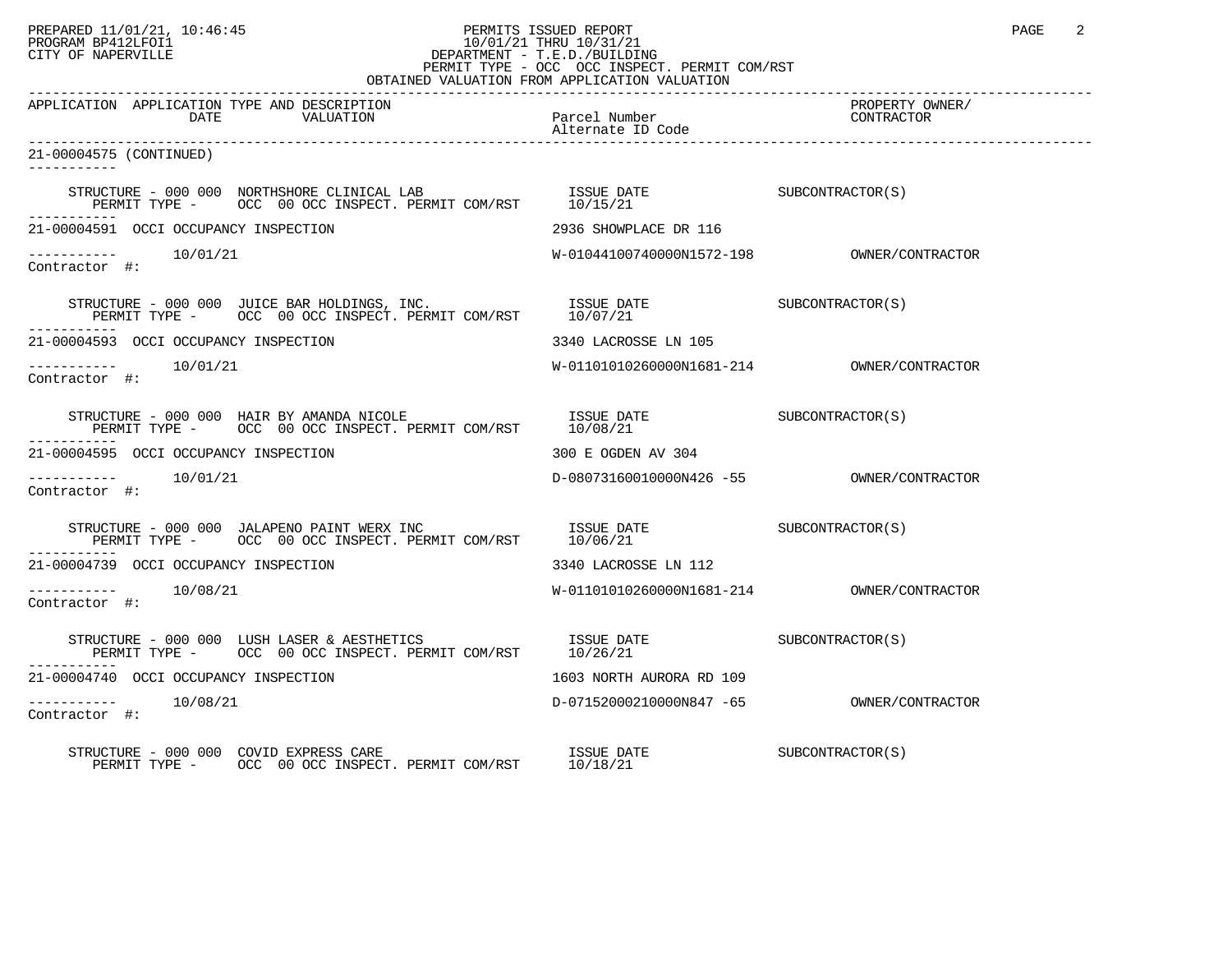## PREPARED 11/01/21, 10:46:45 PERMITS ISSUED REPORT PAGE 2 PROGRAM BP412LFOI1 10/01/21 THRU 10/31/21 CITY OF NAPERVILLE **Example 20** CITY OF NAPERVILLE PERMIT TYPE - OCC OCC INSPECT. PERMIT COM/RST

| OBTAINED VALUATION FROM APPLICATION VALUATION                                                                                                                      |                                                         |                               |  |  |
|--------------------------------------------------------------------------------------------------------------------------------------------------------------------|---------------------------------------------------------|-------------------------------|--|--|
| APPLICATION APPLICATION TYPE AND DESCRIPTION<br>DATE<br>VALUATION                                                                                                  | Parcel Number<br>Alternate ID Code<br>Alternate ID Code | PROPERTY OWNER/<br>CONTRACTOR |  |  |
| 21-00004575 (CONTINUED)<br>-----------                                                                                                                             |                                                         |                               |  |  |
|                                                                                                                                                                    |                                                         |                               |  |  |
| 21-00004591 OCCI OCCUPANCY INSPECTION                                                                                                                              | 2936 SHOWPLACE DR 116                                   |                               |  |  |
| Contractor #:                                                                                                                                                      |                                                         |                               |  |  |
|                                                                                                                                                                    |                                                         |                               |  |  |
| 21-00004593 OCCI OCCUPANCY INSPECTION                                                                                                                              | 3340 LACROSSE LN 105                                    |                               |  |  |
| Contractor #:                                                                                                                                                      |                                                         |                               |  |  |
|                                                                                                                                                                    |                                                         |                               |  |  |
| 21-00004595 OCCI OCCUPANCY INSPECTION                                                                                                                              | 300 E OGDEN AV 304                                      |                               |  |  |
| $--------$ 10/01/21<br>Contractor #:                                                                                                                               |                                                         |                               |  |  |
|                                                                                                                                                                    |                                                         |                               |  |  |
| 21-00004739 OCCI OCCUPANCY INSPECTION                                                                                                                              | 3340 LACROSSE LN 112                                    |                               |  |  |
| -----------    10/08/21<br>Contractor #:                                                                                                                           |                                                         |                               |  |  |
| STRUCTURE – 000 000 LUSH LASER & AESTHETICS $$\tt{ISSUE}$ DATE $$\tt{SUBCONTRACTOR}(S)$ PERMIT TYPE – $$\tt{OCC}$ 00 OCC INSPECT. PERMIT COM/RST $$\tt{10/26/21}$$ |                                                         |                               |  |  |
| 21-00004740 OCCI OCCUPANCY INSPECTION                                                                                                                              | 1603 NORTH AURORA RD 109                                |                               |  |  |
| -----------    10/08/21<br>Contractor #:                                                                                                                           |                                                         |                               |  |  |
| STRUCTURE - 000 000 COVID EXPRESS CARE<br>RUCTURE - 000 000 COVID EXPRESS CARE<br>PERMIT TYPE - OCC 00 OCC INSPECT. PERMIT COM/RST 10/18/21                        |                                                         | SUBCONTRACTOR(S)              |  |  |